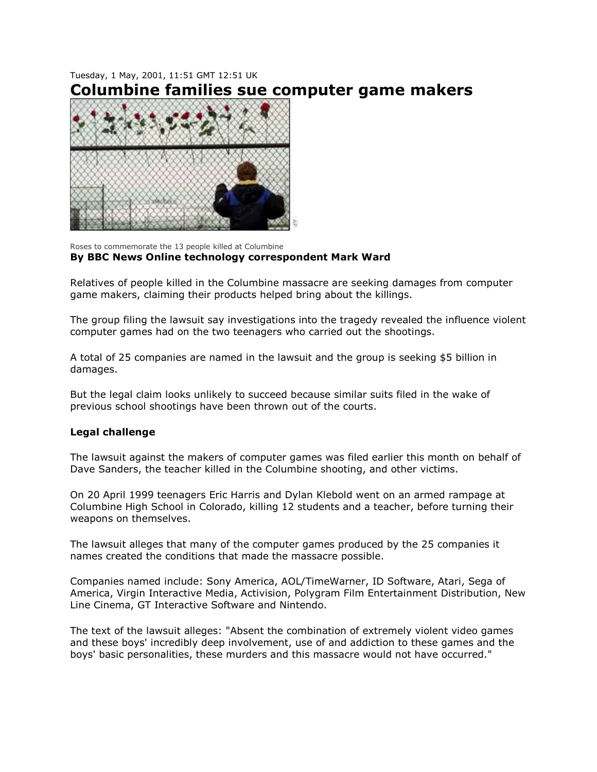## Tuesday, 1 May, 2001, 11:51 GMT 12:51 UK **Columbine families sue computer game makers**



Roses to commemorate the 13 people killed at Columbine **By BBC News Online technology correspondent Mark Ward**

Relatives of people killed in the Columbine massacre are seeking damages from computer game makers, claiming their products helped bring about the killings.

The group filing the lawsuit say investigations into the tragedy revealed the influence violent computer games had on the two teenagers who carried out the shootings.

A total of 25 companies are named in the lawsuit and the group is seeking \$5 billion in damages.

But the legal claim looks unlikely to succeed because similar suits filed in the wake of previous school shootings have been thrown out of the courts.

## **Legal challenge**

The lawsuit against the makers of computer games was filed earlier this month on behalf of Dave Sanders, the teacher killed in the Columbine shooting, and other victims.

On 20 April 1999 teenagers Eric Harris and Dylan Klebold went on an armed rampage at Columbine High School in Colorado, killing 12 students and a teacher, before turning their weapons on themselves.

The lawsuit alleges that many of the computer games produced by the 25 companies it names created the conditions that made the massacre possible.

Companies named include: Sony America, AOL/TimeWarner, ID Software, Atari, Sega of America, Virgin Interactive Media, Activision, Polygram Film Entertainment Distribution, New Line Cinema, GT Interactive Software and Nintendo.

The text of the lawsuit alleges: "Absent the combination of extremely violent video games and these boys' incredibly deep involvement, use of and addiction to these games and the boys' basic personalities, these murders and this massacre would not have occurred."